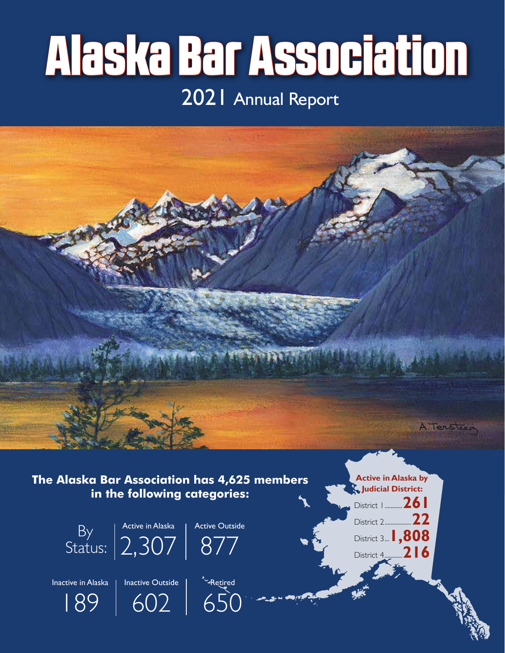# **Alaska Bar Association** 2021 Annual Report



**The Alaska Bar Association has 4,625 members in the following categories:**



Active in Alaska 2,307

Active Outside 877

**Active in Alaska by Judicial District:** District 1 ............**261**

District 2 ..................**22** District 3 ...**1,808**

District 4 ............**216**

Inactive in Alaska

189



*<u>ERetired</u>* 650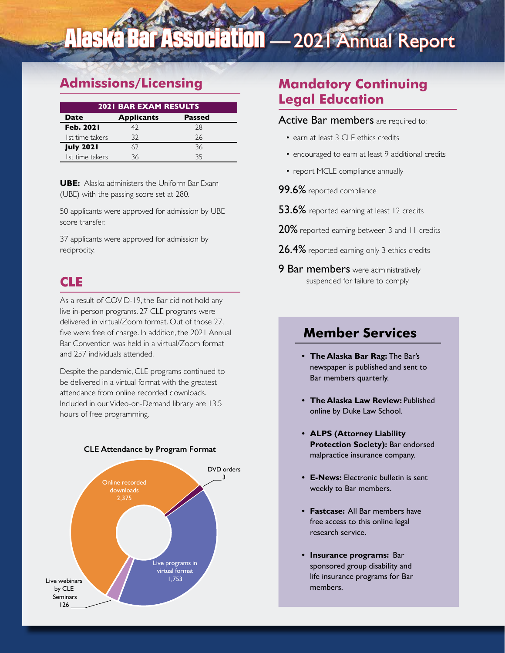# **Admissions/Licensing**

| <b>2021 BAR EXAM RESULTS</b> |                   |               |  |  |  |
|------------------------------|-------------------|---------------|--|--|--|
| <b>Date</b>                  | <b>Applicants</b> | <b>Passed</b> |  |  |  |
| <b>Feb. 2021</b>             | 42                | 28            |  |  |  |
| Ist time takers              | 32                | 26            |  |  |  |
| <b>July 2021</b>             | 62                | 36            |  |  |  |
| Ist time takers              | 36                | 35            |  |  |  |

**UBE:** Alaska administers the Uniform Bar Exam (UBE) with the passing score set at 280.

50 applicants were approved for admission by UBE score transfer.

37 applicants were approved for admission by reciprocity.

# **CLE**

As a result of COVID-19, the Bar did not hold any live in-person programs. 27 CLE programs were delivered in virtual/Zoom format. Out of those 27, five were free of charge. In addition, the 2021 Annual Bar Convention was held in a virtual/Zoom format and 257 individuals attended.

Despite the pandemic, CLE programs continued to be delivered in a virtual format with the greatest attendance from online recorded downloads. Included in our Video-on-Demand library are 13.5 hours of free programming.



## **CLE Attendance by Program Format**

## **Mandatory Continuing Legal Education**

## Active Bar members are required to:

- earn at least 3 CLE ethics credits
- encouraged to earn at least 9 additional credits
- report MCLE compliance annually
- 99.6% reported compliance
- 53.6% reported earning at least 12 credits
- 20% reported earning between 3 and 11 credits
- 26.4% reported earning only 3 ethics credits
- **9 Bar members** were administratively suspended for failure to comply

## **Member Services**

- **The Alaska Bar Rag:** The Bar's newspaper is published and sent to Bar members quarterly.
- **The Alaska Law Review:** Published online by Duke Law School.
- **ALPS (Attorney Liability Protection Society):** Bar endorsed malpractice insurance company.
- **E-News:** Electronic bulletin is sent weekly to Bar members.
- **Fastcase:** All Bar members have free access to this online legal research service.
- **Insurance programs:** Bar sponsored group disability and life insurance programs for Bar members.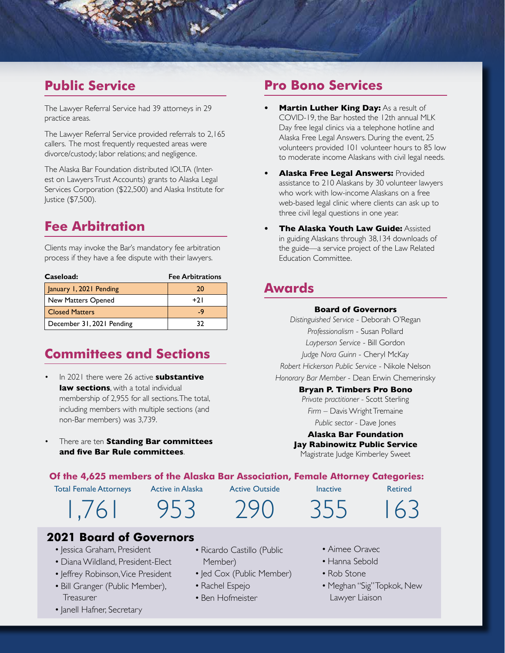# **Public Service**

The Lawyer Referral Service had 39 attorneys in 29 practice areas.

The Lawyer Referral Service provided referrals to 2,165 callers. The most frequently requested areas were divorce/custody; labor relations; and negligence.

The Alaska Bar Foundation distributed IOLTA (Interest on Lawyers Trust Accounts) grants to Alaska Legal Services Corporation (\$22,500) and Alaska Institute for Justice (\$7,500).

## **Fee Arbitration**

Clients may invoke the Bar's mandatory fee arbitration process if they have a fee dispute with their lawyers.

| Caseload:                 | <b>Fee Arbitrations</b> |  |
|---------------------------|-------------------------|--|
| January 1, 2021 Pending   | 20                      |  |
| New Matters Opened        | $+21$                   |  |
| <b>Closed Matters</b>     | -9                      |  |
| December 31, 2021 Pending | つ                       |  |

# **Committees and Sections**

- In 2021 there were 26 active **substantive law sections**, with a total individual membership of 2,955 for all sections. The total, including members with multiple sections (and non-Bar members) was 3,739.
- There are ten **Standing Bar committees and five Bar Rule committees**.

## **Pro Bono Services**

- **Martin Luther King Day: As a result of** COVID-19, the Bar hosted the 12th annual MLK Day free legal clinics via a telephone hotline and Alaska Free Legal Answers. During the event, 25 volunteers provided 101 volunteer hours to 85 low to moderate income Alaskans with civil legal needs.
- **Alaska Free Legal Answers:** Provided assistance to 210 Alaskans by 30 volunteer lawyers who work with low-income Alaskans on a free web-based legal clinic where clients can ask up to three civil legal questions in one year.
- **The Alaska Youth Law Guide:** Assisted in guiding Alaskans through 38,134 downloads of the guide—a service project of the Law Related Education Committee.

## **Awards**

## **Board of Governors** *Distinguished Service* - Deborah O'Regan *Professionalism* - Susan Pollard *Layperson Service* - Bill Gordon *Judge Nora Guinn* - Cheryl McKay *Robert Hickerson Public Service* - Nikole Nelson *Honorary Bar Member* - Dean Erwin Chemerinsky

#### **Bryan P. Timbers Pro Bono**

*Private practitioner -* Scott Sterling *Firm –* Davis Wright Tremaine *Public sector -* Dave Jones

**Alaska Bar Foundation Jay Rabinowitz Public Service**  Magistrate Judge Kimberley Sweet

**Of the 4,625 members of the Alaska Bar Association, Female Attorney Categories:**

Total Female Attorneys

1,761



Active in Alaska

Active Outside

290

**Inactive** 

355

Retired

163

**2021 Board of Governors**

- Iessica Graham, President
- Diana Wildland, President-Elect
- Jeffrey Robinson, Vice President
- Bill Granger (Public Member), Treasurer
- Janell Hafner, Secretary
- Ricardo Castillo (Public Member)
- Jed Cox (Public Member)
- Rachel Espejo
- Ben Hofmeister
- Aimee Oravec
- Hanna Sebold
- Rob Stone
- Meghan "Sig" Topkok, New Lawyer Liaison